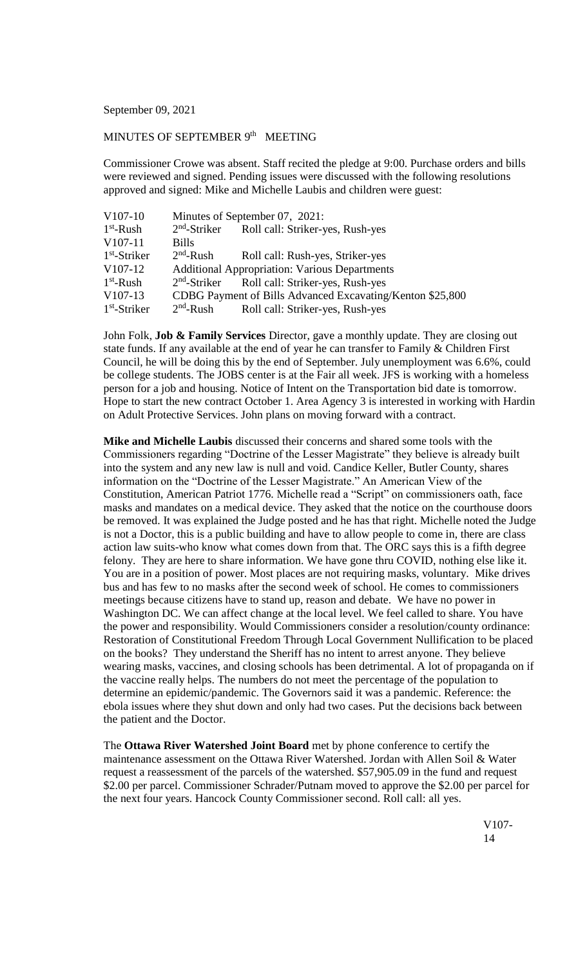September 09, 2021

## MINUTES OF SEPTEMBER 9<sup>th</sup> MEETING

Commissioner Crowe was absent. Staff recited the pledge at 9:00. Purchase orders and bills were reviewed and signed. Pending issues were discussed with the following resolutions approved and signed: Mike and Michelle Laubis and children were guest:

| $V107-10$            | Minutes of September 07, 2021: |                                                           |
|----------------------|--------------------------------|-----------------------------------------------------------|
| $1st$ -Rush          |                                | 2 <sup>nd</sup> -Striker Roll call: Striker-yes, Rush-yes |
| $V107-11$            | <b>Bills</b>                   |                                                           |
| $1st$ -Striker       | $2nd$ -Rush                    | Roll call: Rush-yes, Striker-yes                          |
| V <sub>107</sub> -12 |                                | <b>Additional Appropriation: Various Departments</b>      |
| $1st$ -Rush          |                                | 2 <sup>nd</sup> -Striker Roll call: Striker-yes, Rush-yes |
| $V107-13$            |                                | CDBG Payment of Bills Advanced Excavating/Kenton \$25,800 |
| $1st$ -Striker       | $2nd$ -Rush                    | Roll call: Striker-yes, Rush-yes                          |

John Folk, **Job & Family Services** Director, gave a monthly update. They are closing out state funds. If any available at the end of year he can transfer to Family & Children First Council, he will be doing this by the end of September. July unemployment was 6.6%, could be college students. The JOBS center is at the Fair all week. JFS is working with a homeless person for a job and housing. Notice of Intent on the Transportation bid date is tomorrow. Hope to start the new contract October 1. Area Agency 3 is interested in working with Hardin on Adult Protective Services. John plans on moving forward with a contract.

**Mike and Michelle Laubis** discussed their concerns and shared some tools with the Commissioners regarding "Doctrine of the Lesser Magistrate" they believe is already built into the system and any new law is null and void. Candice Keller, Butler County, shares information on the "Doctrine of the Lesser Magistrate." An American View of the Constitution, American Patriot 1776. Michelle read a "Script" on commissioners oath, face masks and mandates on a medical device. They asked that the notice on the courthouse doors be removed. It was explained the Judge posted and he has that right. Michelle noted the Judge is not a Doctor, this is a public building and have to allow people to come in, there are class action law suits-who know what comes down from that. The ORC says this is a fifth degree felony. They are here to share information. We have gone thru COVID, nothing else like it. You are in a position of power. Most places are not requiring masks, voluntary. Mike drives bus and has few to no masks after the second week of school. He comes to commissioners meetings because citizens have to stand up, reason and debate. We have no power in Washington DC. We can affect change at the local level. We feel called to share. You have the power and responsibility. Would Commissioners consider a resolution/county ordinance: Restoration of Constitutional Freedom Through Local Government Nullification to be placed on the books? They understand the Sheriff has no intent to arrest anyone. They believe wearing masks, vaccines, and closing schools has been detrimental. A lot of propaganda on if the vaccine really helps. The numbers do not meet the percentage of the population to determine an epidemic/pandemic. The Governors said it was a pandemic. Reference: the ebola issues where they shut down and only had two cases. Put the decisions back between the patient and the Doctor.

The **Ottawa River Watershed Joint Board** met by phone conference to certify the maintenance assessment on the Ottawa River Watershed. Jordan with Allen Soil & Water request a reassessment of the parcels of the watershed. \$57,905.09 in the fund and request \$2.00 per parcel. Commissioner Schrader/Putnam moved to approve the \$2.00 per parcel for the next four years. Hancock County Commissioner second. Roll call: all yes.